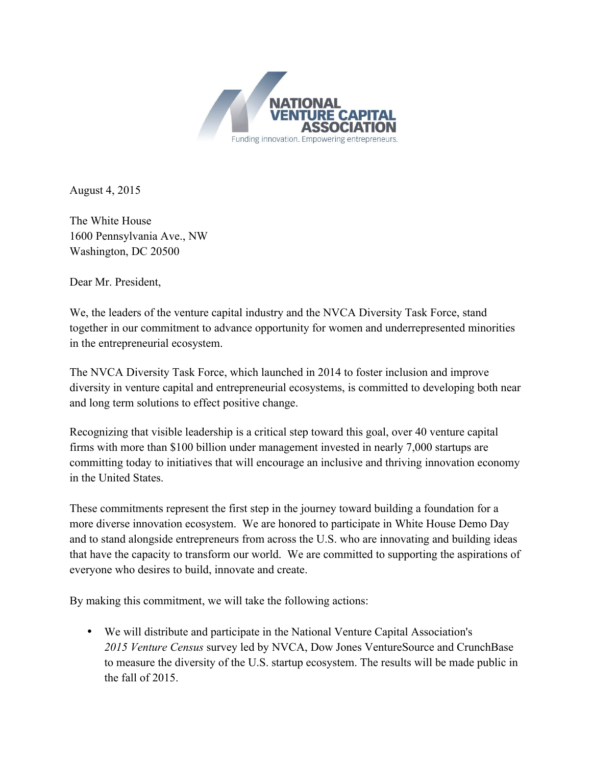

August 4, 2015

The White House 1600 Pennsylvania Ave., NW Washington, DC 20500

Dear Mr. President,

We, the leaders of the venture capital industry and the NVCA Diversity Task Force, stand together in our commitment to advance opportunity for women and underrepresented minorities in the entrepreneurial ecosystem.

The NVCA Diversity Task Force, which launched in 2014 to foster inclusion and improve diversity in venture capital and entrepreneurial ecosystems, is committed to developing both near and long term solutions to effect positive change.

Recognizing that visible leadership is a critical step toward this goal, over 40 venture capital firms with more than \$100 billion under management invested in nearly 7,000 startups are committing today to initiatives that will encourage an inclusive and thriving innovation economy in the United States.

These commitments represent the first step in the journey toward building a foundation for a more diverse innovation ecosystem. We are honored to participate in White House Demo Day and to stand alongside entrepreneurs from across the U.S. who are innovating and building ideas that have the capacity to transform our world. We are committed to supporting the aspirations of everyone who desires to build, innovate and create.

By making this commitment, we will take the following actions:

• We will distribute and participate in the National Venture Capital Association's *2015 Venture Census* survey led by NVCA, Dow Jones VentureSource and CrunchBase to measure the diversity of the U.S. startup ecosystem. The results will be made public in the fall of 2015.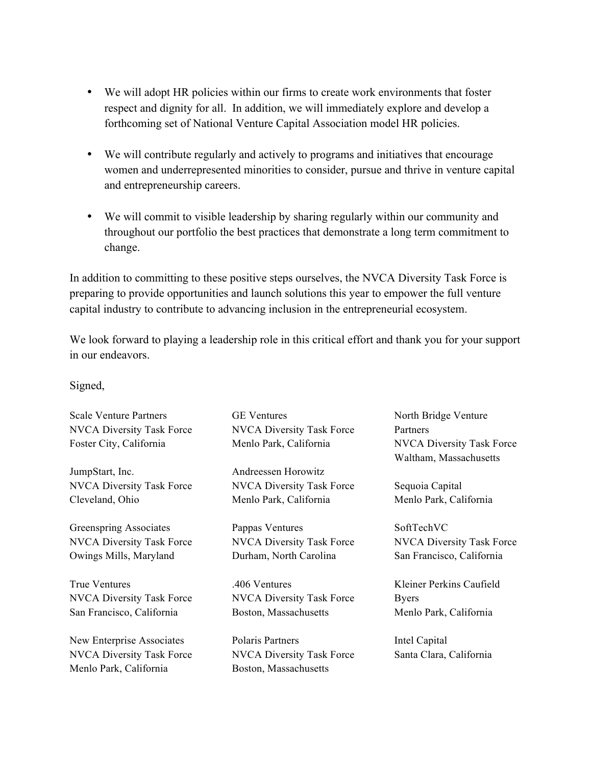- We will adopt HR policies within our firms to create work environments that foster respect and dignity for all. In addition, we will immediately explore and develop a forthcoming set of National Venture Capital Association model HR policies.
- We will contribute regularly and actively to programs and initiatives that encourage women and underrepresented minorities to consider, pursue and thrive in venture capital and entrepreneurship careers.
- We will commit to visible leadership by sharing regularly within our community and throughout our portfolio the best practices that demonstrate a long term commitment to change.

In addition to committing to these positive steps ourselves, the NVCA Diversity Task Force is preparing to provide opportunities and launch solutions this year to empower the full venture capital industry to contribute to advancing inclusion in the entrepreneurial ecosystem.

We look forward to playing a leadership role in this critical effort and thank you for your support in our endeavors.

Signed,

Scale Venture Partners NVCA Diversity Task Force Foster City, California

JumpStart, Inc. NVCA Diversity Task Force Cleveland, Ohio

Greenspring Associates NVCA Diversity Task Force Owings Mills, Maryland

True Ventures NVCA Diversity Task Force San Francisco, California

New Enterprise Associates NVCA Diversity Task Force Menlo Park, California

GE Ventures NVCA Diversity Task Force Menlo Park, California

Andreessen Horowitz NVCA Diversity Task Force Menlo Park, California

Pappas Ventures NVCA Diversity Task Force Durham, North Carolina

.406 Ventures NVCA Diversity Task Force Boston, Massachusetts

Polaris Partners NVCA Diversity Task Force Boston, Massachusetts

North Bridge Venture **Partners** NVCA Diversity Task Force Waltham, Massachusetts

Sequoia Capital Menlo Park, California

SoftTechVC NVCA Diversity Task Force San Francisco, California

Kleiner Perkins Caufield Byers Menlo Park, California

Intel Capital Santa Clara, California